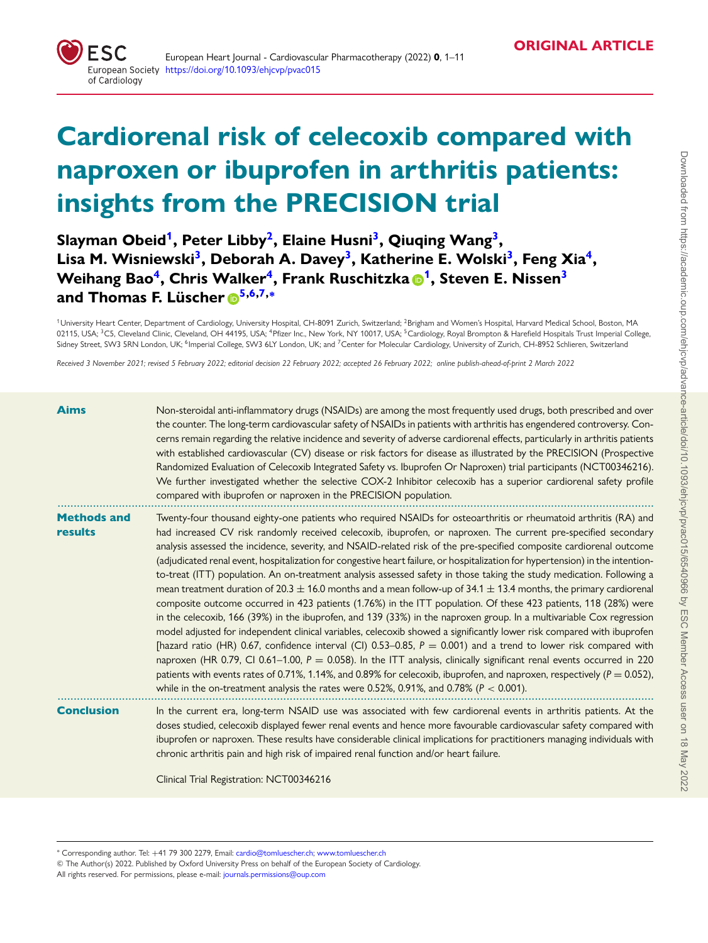

# **Cardiorenal risk of celecoxib compared with naproxen or ibuprofen in arthritis patients: insights from the PRECISION trial**

# **Slayman Obei[d1,](#page-0-0) Peter Libb[y2,](#page-0-1) Elaine Husn[i3,](#page-0-2) Qiuqing Wan[g3,](#page-0-2) Lisa M. Wisniewsk[i3,](#page-0-2) Deborah A. Dave[y3,](#page-0-2) Katherine E. Wolsk[i3,](#page-0-2) Feng Xi[a4,](#page-0-3) Weihang Ba[o4,](#page-0-3) Chris Walke[r4,](#page-0-3) Frank Ruschitzka [1,](#page-0-0) Steven E. Nisse[n3](#page-0-2) and Thomas F. Lüscher [5,](#page-0-4)[6](#page-0-5)[,7,](#page-0-6)[∗](#page-0-7)**

<span id="page-0-4"></span><span id="page-0-3"></span><span id="page-0-2"></span><span id="page-0-1"></span><span id="page-0-0"></span><sup>1</sup>University Heart Center, Department of Cardiology, University Hospital, CH-8091 Zurich, Switzerland; <sup>2</sup>Brigham and Women's Hospital, Harvard Medical School, Boston, MA 02115, USA; <sup>3</sup>C5, Cleveland Clinic, Cleveland, OH 44195, USA; <sup>4</sup>Pfizer Inc., New York, NY 10017, USA; <sup>5</sup>Cardiology, Royal Brompton & Harefield Hospitals Trust Imperial College, Sidney Street, SW3 5RN London, UK; <sup>6</sup>Imperial College, SW3 6LY London, UK; and <sup>7</sup>Center for Molecular Cardiology, University of Zurich, CH-8952 Schlieren, Switzerland

<span id="page-0-6"></span><span id="page-0-5"></span>Received 3 November 2021; revised 5 February 2022; editorial decision 22 February 2022; accepted 26 February 2022; online publish-ahead-of-print 2 March 2022

| <b>Aims</b>                   | Non-steroidal anti-inflammatory drugs (NSAIDs) are among the most frequently used drugs, both prescribed and over<br>the counter. The long-term cardiovascular safety of NSAIDs in patients with arthritis has engendered controversy. Con-<br>cerns remain regarding the relative incidence and severity of adverse cardiorenal effects, particularly in arthritis patients<br>with established cardiovascular (CV) disease or risk factors for disease as illustrated by the PRECISION (Prospective<br>Randomized Evaluation of Celecoxib Integrated Safety vs. Ibuprofen Or Naproxen) trial participants (NCT00346216).<br>We further investigated whether the selective COX-2 Inhibitor celecoxib has a superior cardiorenal safety profile<br>compared with ibuprofen or naproxen in the PRECISION population.                                                                                                                                                                                                                                                                                                                                                                                                                                                                                                                                                                                                                                                                                                                                                                                    |
|-------------------------------|--------------------------------------------------------------------------------------------------------------------------------------------------------------------------------------------------------------------------------------------------------------------------------------------------------------------------------------------------------------------------------------------------------------------------------------------------------------------------------------------------------------------------------------------------------------------------------------------------------------------------------------------------------------------------------------------------------------------------------------------------------------------------------------------------------------------------------------------------------------------------------------------------------------------------------------------------------------------------------------------------------------------------------------------------------------------------------------------------------------------------------------------------------------------------------------------------------------------------------------------------------------------------------------------------------------------------------------------------------------------------------------------------------------------------------------------------------------------------------------------------------------------------------------------------------------------------------------------------------|
| <b>Methods and</b><br>results | Twenty-four thousand eighty-one patients who required NSAIDs for osteoarthritis or rheumatoid arthritis (RA) and<br>had increased CV risk randomly received celecoxib, ibuprofen, or naproxen. The current pre-specified secondary<br>analysis assessed the incidence, severity, and NSAID-related risk of the pre-specified composite cardiorenal outcome<br>(adjudicated renal event, hospitalization for congestive heart failure, or hospitalization for hypertension) in the intention-<br>to-treat (ITT) population. An on-treatment analysis assessed safety in those taking the study medication. Following a<br>mean treatment duration of $20.3 \pm 16.0$ months and a mean follow-up of $34.1 \pm 13.4$ months, the primary cardiorenal<br>composite outcome occurred in 423 patients (1.76%) in the ITT population. Of these 423 patients, 118 (28%) were<br>in the celecoxib, 166 (39%) in the ibuprofen, and 139 (33%) in the naproxen group. In a multivariable Cox regression<br>model adjusted for independent clinical variables, celecoxib showed a significantly lower risk compared with ibuprofen<br>[hazard ratio (HR) 0.67, confidence interval (Cl) 0.53-0.85, $P = 0.001$ ) and a trend to lower risk compared with<br>naproxen (HR 0.79, CI 0.61–1.00, $P = 0.058$ ). In the ITT analysis, clinically significant renal events occurred in 220<br>patients with events rates of 0.71%, 1.14%, and 0.89% for celecoxib, ibuprofen, and naproxen, respectively ( $P = 0.052$ ),<br>while in the on-treatment analysis the rates were 0.52%, 0.91%, and 0.78% ( $P < 0.001$ ). |
| <b>Conclusion</b>             | In the current era, long-term NSAID use was associated with few cardiorenal events in arthritis patients. At the<br>doses studied, celecoxib displayed fewer renal events and hence more favourable cardiovascular safety compared with<br>ibuprofen or naproxen. These results have considerable clinical implications for practitioners managing individuals with<br>chronic arthritis pain and high risk of impaired renal function and/or heart failure.<br>Clinical Trial Registration: NCT00346216                                                                                                                                                                                                                                                                                                                                                                                                                                                                                                                                                                                                                                                                                                                                                                                                                                                                                                                                                                                                                                                                                               |

<span id="page-0-7"></span><sup>∗</sup> Corresponding author. Tel: +41 79 300 2279, Email: [cardio@tomluescher.ch;](mailto:cardio@tomluescher.ch) [www.tomluescher.ch](http://www.tomluescher.ch)

© The Author(s) 2022. Published by Oxford University Press on behalf of the European Society of Cardiology.

All rights reserved. For permissions, please e-mail: [journals.permissions@oup.com](mailto:journals.permissions@oup.com)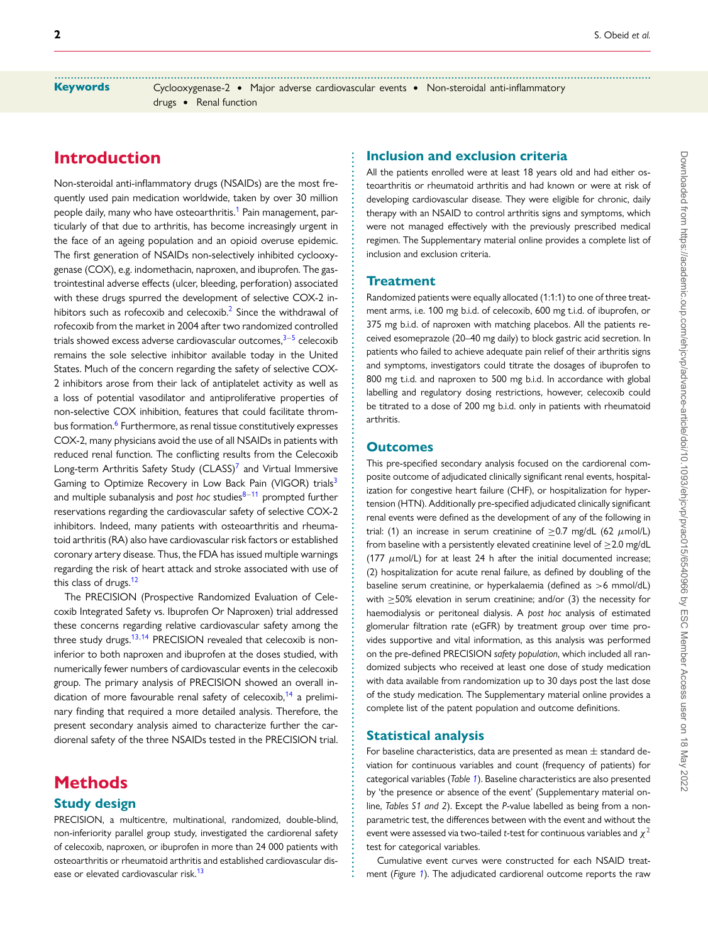**.........................................................................................................................................................................................** Keywords Cyclooxygenase-2 • Major adverse cardiovascular events • Non-steroidal anti-inflammatory drugs • Renal function

> **. . . . . . . . . . . . . . . . . . . . . . . . . . . . . . . . . . . . . . . . . . . . . . . . . . . . . . . . . . . . . . . . . . . . . . . . . . . . . . . . . . . . . . . . . . . . . . . . . . . . . . . . . . . . . . . . . . . . . . . . . . . . . . . . . . . . . . . . . . . . . . . . . . . . . . . . . . . . . . . . .**

# **Introduction**

Non-steroidal anti-inflammatory drugs (NSAIDs) are the most frequently used pain medication worldwide, taken by over 30 million people daily, many who have osteoarthritis.<sup>[1](#page-9-0)</sup> Pain management, particularly of that due to arthritis, has become increasingly urgent in the face of an ageing population and an opioid overuse epidemic. The first generation of NSAIDs non-selectively inhibited cyclooxygenase (COX), e.g. indomethacin, naproxen, and ibuprofen. The gastrointestinal adverse effects (ulcer, bleeding, perforation) associated with these drugs spurred the development of selective COX-2 in-hibitors such as rofecoxib and celecoxib.<sup>[2](#page-9-1)</sup> Since the withdrawal of rofecoxib from the market in 2004 after two randomized controlled trials showed excess adverse cardiovascular outcomes.<sup>3–[5](#page-9-3)</sup> celecoxib remains the sole selective inhibitor available today in the United States. Much of the concern regarding the safety of selective COX-2 inhibitors arose from their lack of antiplatelet activity as well as a loss of potential vasodilator and antiproliferative properties of non-selective COX inhibition, features that could facilitate thrombus formation.<sup>6</sup> Furthermore, as renal tissue constitutively expresses COX-2, many physicians avoid the use of all NSAIDs in patients with reduced renal function. The conflicting results from the Celecoxib Long-term Arthritis Safety Study ( $CLASS$ )<sup>[7](#page-9-5)</sup> and Virtual Immersive Gaming to Optimize Recovery in Low Back Pain (VIGOR) trials<sup>[3](#page-9-2)</sup> and multiple subanalysis and *post hoc* studies<sup>8-[11](#page-9-7)</sup> prompted further reservations regarding the cardiovascular safety of selective COX-2 inhibitors. Indeed, many patients with osteoarthritis and rheumatoid arthritis (RA) also have cardiovascular risk factors or established coronary artery disease. Thus, the FDA has issued multiple warnings regarding the risk of heart attack and stroke associated with use of this class of drugs.<sup>[12](#page-9-8)</sup>

The PRECISION (Prospective Randomized Evaluation of Celecoxib Integrated Safety vs. Ibuprofen Or Naproxen) trial addressed these concerns regarding relative cardiovascular safety among the three study drugs.<sup>13,[14](#page-9-10)</sup> PRECISION revealed that celecoxib is noninferior to both naproxen and ibuprofen at the doses studied, with numerically fewer numbers of cardiovascular events in the celecoxib group. The primary analysis of PRECISION showed an overall in-dication of more favourable renal safety of celecoxib,<sup>[14](#page-9-10)</sup> a preliminary finding that required a more detailed analysis. Therefore, the present secondary analysis aimed to characterize further the cardiorenal safety of the three NSAIDs tested in the PRECISION trial.

# **Methods**

## **Study design**

PRECISION, a multicentre, multinational, randomized, double-blind, non-inferiority parallel group study, investigated the cardiorenal safety of celecoxib, naproxen, or ibuprofen in more than 24 000 patients with osteoarthritis or rheumatoid arthritis and established cardiovascular dis-ease or elevated cardiovascular risk.<sup>[13](#page-9-9)</sup>

### **Inclusion and exclusion criteria**

All the patients enrolled were at least 18 years old and had either osteoarthritis or rheumatoid arthritis and had known or were at risk of developing cardiovascular disease. They were eligible for chronic, daily therapy with an NSAID to control arthritis signs and symptoms, which were not managed effectively with the previously prescribed medical regimen. The Supplementary material online provides a complete list of inclusion and exclusion criteria.

#### **Treatment**

Randomized patients were equally allocated (1:1:1) to one of three treatment arms, i.e. 100 mg b.i.d. of celecoxib, 600 mg t.i.d. of ibuprofen, or 375 mg b.i.d. of naproxen with matching placebos. All the patients received esomeprazole (20–40 mg daily) to block gastric acid secretion. In patients who failed to achieve adequate pain relief of their arthritis signs and symptoms, investigators could titrate the dosages of ibuprofen to 800 mg t.i.d. and naproxen to 500 mg b.i.d. In accordance with global labelling and regulatory dosing restrictions, however, celecoxib could be titrated to a dose of 200 mg b.i.d. only in patients with rheumatoid arthritis.

#### **Outcomes**

This pre-specified secondary analysis focused on the cardiorenal composite outcome of adjudicated clinically significant renal events, hospitalization for congestive heart failure (CHF), or hospitalization for hypertension (HTN). Additionally pre-specified adjudicated clinically significant renal events were defined as the development of any of the following in trial: (1) an increase in serum creatinine of  $>0.7$  mg/dL (62  $\mu$ mol/L) from baseline with a persistently elevated creatinine level of  $\geq$  2.0 mg/dL (177  $\mu$ mol/L) for at least 24 h after the initial documented increase; (2) hospitalization for acute renal failure, as defined by doubling of the baseline serum creatinine, or hyperkalaemia (defined as >6 mmol/dL) with  $\geq$  50% elevation in serum creatinine; and/or (3) the necessity for haemodialysis or peritoneal dialysis. A *post hoc* analysis of estimated glomerular filtration rate (eGFR) by treatment group over time provides supportive and vital information, as this analysis was performed on the pre-defined PRECISION *safety population*, which included all randomized subjects who received at least one dose of study medication with data available from randomization up to 30 days post the last dose of the study medication. The Supplementary material online provides a complete list of the patent population and outcome definitions.

#### **Statistical analysis**

For baseline characteristics, data are presented as mean  $\pm$  standard deviation for continuous variables and count (frequency of patients) for categorical variables (*Table [1](#page-2-0)*). Baseline characteristics are also presented by 'the presence or absence of the event' (Supplementary material online, *Tables S1 and 2*). Except the *P*-value labelled as being from a nonparametric test, the differences between with the event and without the event were assessed via two-tailed *t*-test for continuous variables and  $\chi^2$ test for categorical variables.

Cumulative event curves were constructed for each NSAID treatment (*Figure [1](#page-2-1)*). The adjudicated cardiorenal outcome reports the raw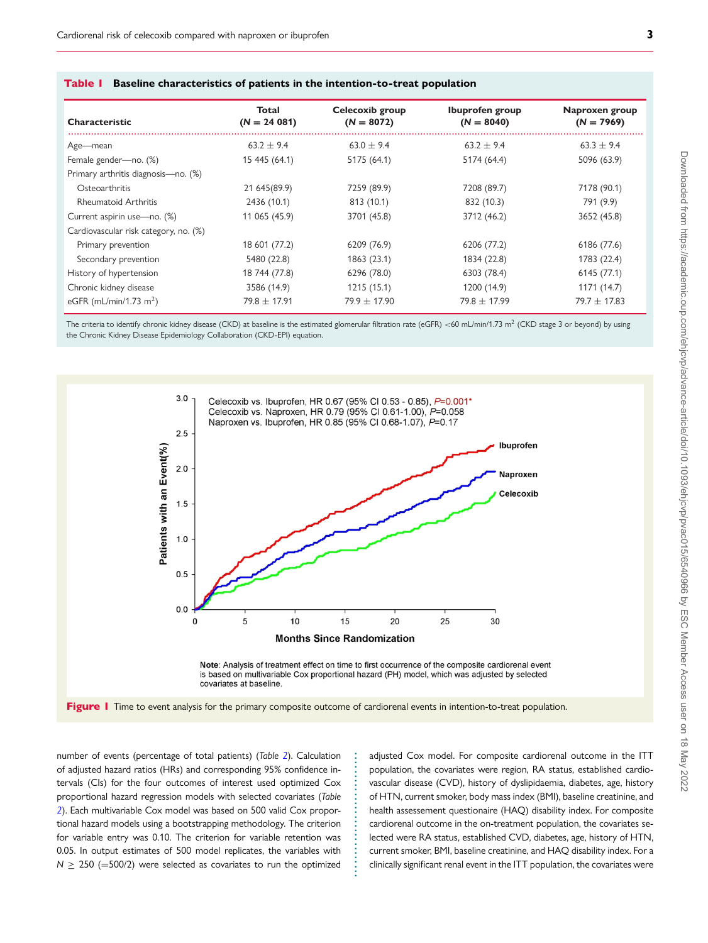| Total<br>$(N = 24 081)$ | Celecoxib group<br>$(N = 8072)$ | Ibuprofen group<br>$(N = 8040)$ | Naproxen group<br>$(N = 7969)$ |
|-------------------------|---------------------------------|---------------------------------|--------------------------------|
| $63.2 + 9.4$            | $63.0 + 9.4$                    | $63.2 + 9.4$                    | $63.3 + 9.4$                   |
| 15 445 (64.1)           | 5175 (64.1)                     | 5174 (64.4)                     | 5096 (63.9)                    |
|                         |                                 |                                 |                                |
| 21 645 (89.9)           | 7259 (89.9)                     | 7208 (89.7)                     | 7178 (90.1)                    |
| 2436 (10.1)             | 813 (10.1)                      | 832 (10.3)                      | 791 (9.9)                      |
| 11 065 (45.9)           | 3701 (45.8)                     | 3712 (46.2)                     | 3652 (45.8)                    |
|                         |                                 |                                 |                                |
| 18 601 (77.2)           | 6209 (76.9)                     | 6206 (77.2)                     | 6186 (77.6)                    |
| 5480 (22.8)             | 1863 (23.1)                     | 1834 (22.8)                     | 1783 (22.4)                    |
| 18 744 (77.8)           | 6296 (78.0)                     | 6303 (78.4)                     | 6145 (77.1)                    |
| 3586 (14.9)             | 1215(15.1)                      | 1200 (14.9)                     | 1171 (14.7)                    |
| $79.8 + 17.91$          | $79.9 + 17.90$                  | $79.8 \pm 17.99$                | $79.7 + 17.83$                 |
|                         |                                 |                                 |                                |

<span id="page-2-0"></span>

| <b>Table I</b> Baseline characteristics of patients in the intention-to-treat population |  |  |
|------------------------------------------------------------------------------------------|--|--|
|                                                                                          |  |  |

<span id="page-2-1"></span>The criteria to identify chronic kidney disease (CKD) at baseline is the estimated glomerular filtration rate (eGFR) <60 mL/min/1.73 m<sup>2</sup> (CKD stage 3 or beyond) by using the Chronic Kidney Disease Epidemiology Collaboration (CKD-EPI) equation.



Note: Analysis of treatment effect on time to first occurrence of the composite cardiorenal event is based on multivariable Cox proportional hazard (PH) model, which was adjusted by selected covariates at baseline

> **. . . . . . . . . . . . . . . . . . . . . . . . . . . .**

Figure 1 Time to event analysis for the primary composite outcome of cardiorenal events in intention-to-treat population.

number of events (percentage of total patients) (*Table [2](#page-3-0)*). Calculation of adjusted hazard ratios (HRs) and corresponding 95% confidence intervals (CIs) for the four outcomes of interest used optimized Cox proportional hazard regression models with selected covariates (*Table [2](#page-3-0)*). Each multivariable Cox model was based on 500 valid Cox proportional hazard models using a bootstrapping methodology. The criterion for variable entry was 0.10. The criterion for variable retention was 0.05. In output estimates of 500 model replicates, the variables with  $N \ge 250$  (=500/2) were selected as covariates to run the optimized adjusted Cox model. For composite cardiorenal outcome in the ITT population, the covariates were region, RA status, established cardiovascular disease (CVD), history of dyslipidaemia, diabetes, age, history of HTN, current smoker, body mass index (BMI), baseline creatinine, and health assessement questionaire (HAQ) disability index. For composite cardiorenal outcome in the on-treatment population, the covariates selected were RA status, established CVD, diabetes, age, history of HTN, current smoker, BMI, baseline creatinine, and HAQ disability index. For a clinically significant renal event in the ITT population, the covariates were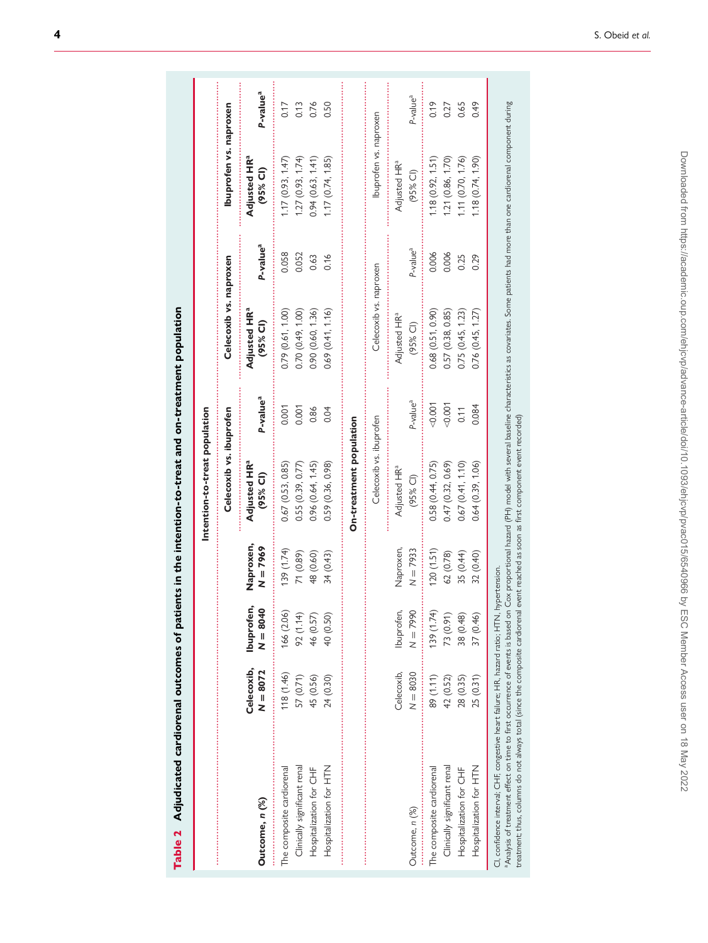<span id="page-3-0"></span>

| ֚֚               |  |
|------------------|--|
|                  |  |
|                  |  |
| ו<br>ו           |  |
| $\overline{a}$   |  |
| ֺ֚               |  |
| <br> }<br>م<br>و |  |

|                                                           |                          |                          |                         | Intention-to-treat population                      |                      |                                              |                      |                                        |                      |
|-----------------------------------------------------------|--------------------------|--------------------------|-------------------------|----------------------------------------------------|----------------------|----------------------------------------------|----------------------|----------------------------------------|----------------------|
|                                                           |                          |                          |                         | Celecoxib vs. ibuprofen                            |                      | Celecoxib vs. naproxen                       |                      | Ibuprofen vs. naproxen                 |                      |
| Outcome, n (%)                                            | Celecoxib,<br>$N = 8072$ | Ibuprofen,<br>$N = 8040$ | Naproxen,<br>$N = 7969$ | Adjusted HR <sup>a</sup><br>(95% CI)               | P-value <sup>a</sup> | <b>Adjusted HR<sup>a</sup></b><br>$(95%$ CI) | P-value <sup>a</sup> | Adjusted HR <sup>a</sup><br>(95% Cl)   | P-value <sup>a</sup> |
| The composite cardiorenal                                 | 118 (1.46)               | 166 (2.06)               | (1.74)                  | 0.67(0.53, 0.85)                                   | 0.001                | 0.79 (0.61, 1.00)                            | 0.058                | 1.17(0.93, 1.47)                       | 0.17                 |
| Clinically significant renal                              | 57 (0.71)                | 92 (1.14)                | 71 (0.89)               | 0.55(0.39, 0.77)                                   | 0.001                | 0.70(0.49, 1.00)                             | 0.052                | 1.27(0.93, 1.74)                       | 0.13                 |
| Hospitalization for CHF                                   | 45 (0.56)                | 46 (0.57)                | 48 (0.60)               | 0.96(0.64, 1.45)                                   | 0.86                 | 0.90(0.60, 1.36)                             | 0.63                 | 0.94(0.63, 1.41)                       | 0.76                 |
| Hospitalization for HTN                                   | 24 (0.30)                | 40 (0.50)                | 34 (0.43)               | 0.59 (0.36, 0.98)                                  | 0.04                 | 0.69(0.41, 1.16)                             | 0.16                 | 1.17(0.74, 1.85)                       | 0.50                 |
|                                                           |                          |                          |                         | Celecoxib vs. ibuprofen<br>On-treatment population |                      | Celecoxib vs. naproxen                       |                      | Ibuprofen vs. naproxen                 |                      |
| Outcome, n (%)                                            | Celecoxib,<br>$N = 8030$ | Ibuprofen,<br>$N = 7990$ | Naproxen,<br>$N = 7933$ | Adjusted HR <sup>a</sup><br>$(95%$ CI)             | P-value <sup>a</sup> | Adjusted HR <sup>a</sup><br>$(95%$ CI)       | P-value <sup>a</sup> | Adjusted HR <sup>a</sup><br>$(95%$ CI) | P-value <sup>a</sup> |
| Clinically significant renal<br>The composite cardiorenal | 89 (1.11)<br>42 (0.52)   | 139 (1.74)<br>73 (0.91)  | (1.51)<br>62 (0.78)     | 0.58 (0.44, 0.75)<br>0.47 (0.32, 0.69)             | 0.001<br>0.001       | 0.68(0.51, 0.90)<br>0.57(0.38, 0.85)         | 0.006<br>0.006       | 1.18(0.92, 1.51)<br>1.21 (0.86, 1.70)  | 0.19<br>0.27         |
| Hospitalization for CHF                                   | 28 (0.35)                | 38 (0.48)                | 35 (0.44)               | 0.67(0.41, 1.10)                                   | 0.11                 | 0.75(0.45, 1.23)                             | 0.25                 | 1.11(0.70, 1.76)                       | 0.65                 |
| Hospitalization for HTN                                   | 25 (0.31)                | 37 (0.46)                | 32 (0.40)               | 0.64(0.39, 1.06)                                   | 0.084                | 0.76(0.45, 1.27)                             | 0.29                 | 1.18(0.74, 1.90)                       | 649                  |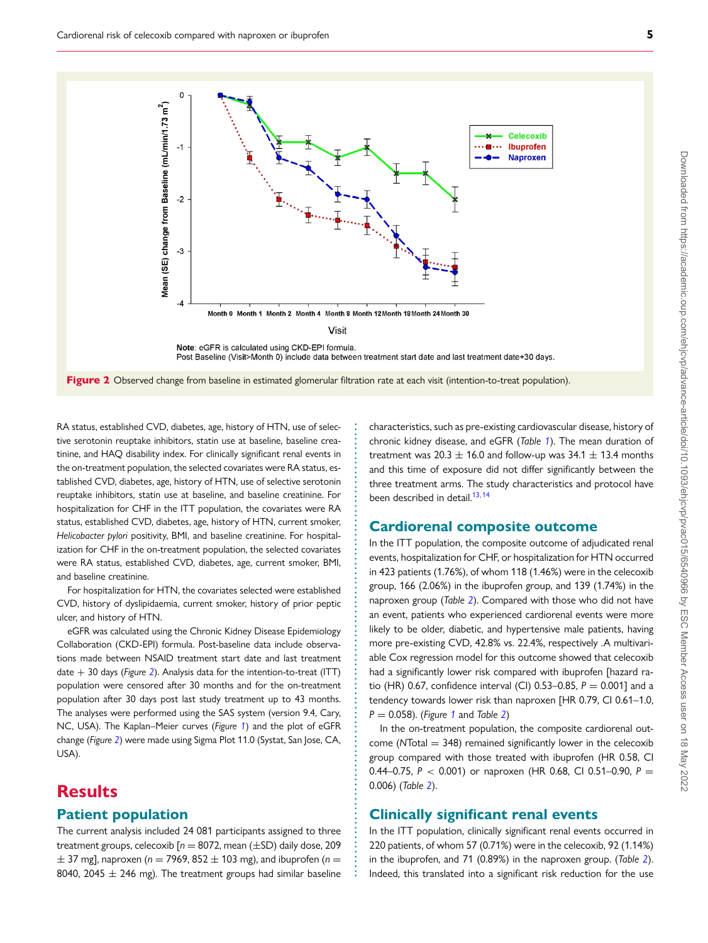<span id="page-4-0"></span>

**. . . . . . . . . . . . . . . . . . . . . . . . . . . . . . . . . . . . . . . . . . . . . . . . . . . . . . . . . . . . . . . . . . . . . . . . . . . . . . . . . . . . . . . . . . . . . . .**

RA status, established CVD, diabetes, age, history of HTN, use of selective serotonin reuptake inhibitors, statin use at baseline, baseline creatinine, and HAQ disability index. For clinically significant renal events in the on-treatment population, the selected covariates were RA status, established CVD, diabetes, age, history of HTN, use of selective serotonin reuptake inhibitors, statin use at baseline, and baseline creatinine. For hospitalization for CHF in the ITT population, the covariates were RA status, established CVD, diabetes, age, history of HTN, current smoker, *Helicobacter pylori* positivity, BMI, and baseline creatinine. For hospitalization for CHF in the on-treatment population, the selected covariates were RA status, established CVD, diabetes, age, current smoker, BMI, and baseline creatinine.

For hospitalization for HTN, the covariates selected were established CVD, history of dyslipidaemia, current smoker, history of prior peptic ulcer, and history of HTN.

eGFR was calculated using the Chronic Kidney Disease Epidemiology Collaboration (CKD-EPI) formula. Post-baseline data include observations made between NSAID treatment start date and last treatment date + 30 days (*Figure [2](#page-4-0)*). Analysis data for the intention-to-treat (ITT) population were censored after 30 months and for the on-treatment population after 30 days post last study treatment up to 43 months. The analyses were performed using the SAS system (version 9.4, Cary, NC, USA). The Kaplan–Meier curves (*Figure [1](#page-2-1)*) and the plot of eGFR change (*Figure [2](#page-4-0)*) were made using Sigma Plot 11.0 (Systat, San Jose, CA, USA).

# **Results**

## **Patient population**

The current analysis included 24 081 participants assigned to three treatment groups, celecoxib  $[n = 8072, \text{mean } (\pm SD)$  daily dose, 209  $\pm$  37 mg], naproxen ( $n = 7969$ , 852  $\pm$  103 mg), and ibuprofen ( $n =$ 8040, 2045  $\pm$  246 mg). The treatment groups had similar baseline

characteristics, such as pre-existing cardiovascular disease, history of chronic kidney disease, and eGFR (*Table [1](#page-2-0)*). The mean duration of treatment was  $20.3 \pm 16.0$  and follow-up was  $34.1 \pm 13.4$  months and this time of exposure did not differ significantly between the three treatment arms. The study characteristics and protocol have been described in detail.<sup>[13,](#page-9-9)[14](#page-9-10)</sup>

## **Cardiorenal composite outcome**

In the ITT population, the composite outcome of adjudicated renal events, hospitalization for CHF, or hospitalization for HTN occurred in 423 patients (1.76%), of whom 118 (1.46%) were in the celecoxib group, 166 (2.06%) in the ibuprofen group, and 139 (1.74%) in the naproxen group (*Table [2](#page-3-0)*). Compared with those who did not have an event, patients who experienced cardiorenal events were more likely to be older, diabetic, and hypertensive male patients, having more pre-existing CVD, 42.8% vs. 22.4%, respectively .A multivariable Cox regression model for this outcome showed that celecoxib had a significantly lower risk compared with ibuprofen [hazard ratio (HR) 0.67, confidence interval (CI) 0.53–0.85,  $P = 0.001$ ] and a tendency towards lower risk than naproxen [HR 0.79, CI 0.61–1.0, *P* = 0.058). (*Figure [1](#page-2-1)* and *Table [2](#page-3-0)*)

In the on-treatment population, the composite cardiorenal outcome (NTotal = 348) remained significantly lower in the celecoxib group compared with those treated with ibuprofen (HR 0.58, CI 0.44–0.75, *P* < 0.001) or naproxen (HR 0.68, CI 0.51–0.90, *P* = 0.006) (*Table [2](#page-3-0)*).

## **Clinically significant renal events**

In the ITT population, clinically significant renal events occurred in 220 patients, of whom 57 (0.71%) were in the celecoxib, 92 (1.14%) in the ibuprofen, and 71 (0.89%) in the naproxen group. (*Table [2](#page-3-0)*). Indeed, this translated into a significant risk reduction for the use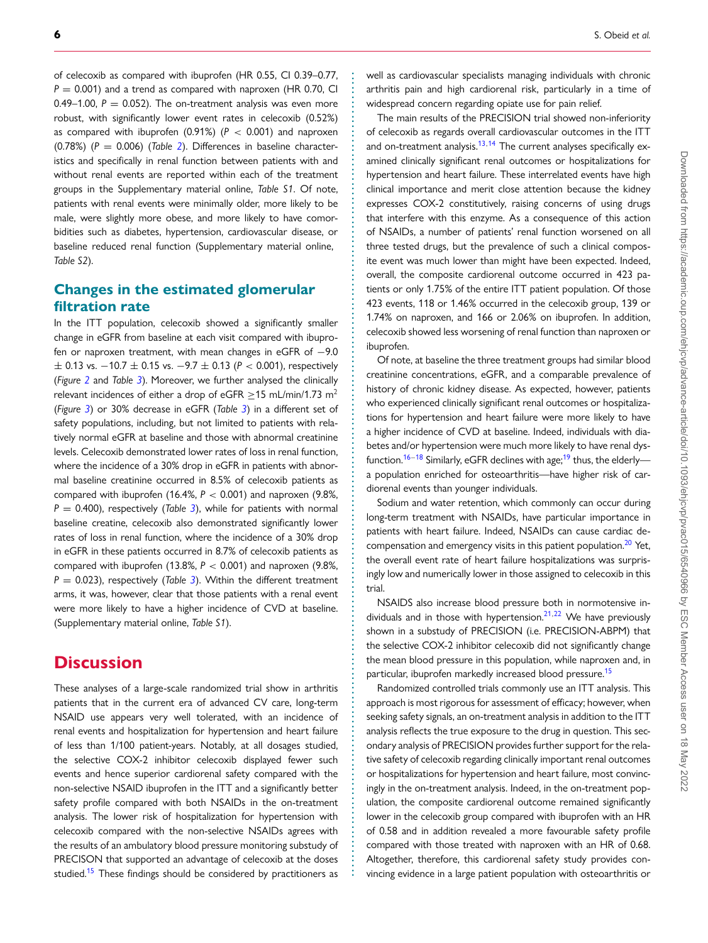of celecoxib as compared with ibuprofen (HR 0.55, CI 0.39–0.77,  $P = 0.001$ ) and a trend as compared with naproxen (HR 0.70, CI 0.49–1.00,  $P = 0.052$ ). The on-treatment analysis was even more robust, with significantly lower event rates in celecoxib (0.52%) as compared with ibuprofen  $(0.91\%)$   $(P < 0.001)$  and naproxen (0.78%) (*P* = 0.006) (*Table [2](#page-3-0)*). Differences in baseline characteristics and specifically in renal function between patients with and without renal events are reported within each of the treatment groups in the Supplementary material online, *Table S1*. Of note, patients with renal events were minimally older, more likely to be male, were slightly more obese, and more likely to have comorbidities such as diabetes, hypertension, cardiovascular disease, or baseline reduced renal function (Supplementary material online, *Table S2*).

## **Changes in the estimated glomerular filtration rate**

In the ITT population, celecoxib showed a significantly smaller change in eGFR from baseline at each visit compared with ibuprofen or naproxen treatment, with mean changes in eGFR of −9.0 ± 0.13 vs. −10.7 ± 0.15 vs. −9.7 ± 0.13 (*P* < 0.001), respectively (*Figure [2](#page-4-0)* and *Table [3](#page-6-0)*). Moreover, we further analysed the clinically relevant incidences of either a drop of eGFR  $\geq$ 15 mL/min/1.73 m<sup>2</sup> (*Figure [3](#page-8-0)*) or 30% decrease in eGFR (*Table [3](#page-6-0)*) in a different set of safety populations, including, but not limited to patients with relatively normal eGFR at baseline and those with abnormal creatinine levels. Celecoxib demonstrated lower rates of loss in renal function, where the incidence of a 30% drop in eGFR in patients with abnormal baseline creatinine occurred in 8.5% of celecoxib patients as compared with ibuprofen (16.4%, *P* < 0.001) and naproxen (9.8%, *P* = 0.400), respectively (*Table [3](#page-6-0)*), while for patients with normal baseline creatine, celecoxib also demonstrated significantly lower rates of loss in renal function, where the incidence of a 30% drop in eGFR in these patients occurred in 8.7% of celecoxib patients as compared with ibuprofen (13.8%,  $P < 0.001$ ) and naproxen (9.8%, *P* = 0.023), respectively (*Table [3](#page-6-0)*). Within the different treatment arms, it was, however, clear that those patients with a renal event were more likely to have a higher incidence of CVD at baseline. (Supplementary material online, *Table S1*).

# **Discussion**

These analyses of a large-scale randomized trial show in arthritis patients that in the current era of advanced CV care, long-term NSAID use appears very well tolerated, with an incidence of renal events and hospitalization for hypertension and heart failure of less than 1/100 patient-years. Notably, at all dosages studied, the selective COX-2 inhibitor celecoxib displayed fewer such events and hence superior cardiorenal safety compared with the non-selective NSAID ibuprofen in the ITT and a significantly better safety profile compared with both NSAIDs in the on-treatment analysis. The lower risk of hospitalization for hypertension with celecoxib compared with the non-selective NSAIDs agrees with the results of an ambulatory blood pressure monitoring substudy of PRECISON that supported an advantage of celecoxib at the doses studied.<sup>15</sup> These findings should be considered by practitioners as well as cardiovascular specialists managing individuals with chronic arthritis pain and high cardiorenal risk, particularly in a time of widespread concern regarding opiate use for pain relief.

**. . . . . . . . . . . . . . . . . . . . . . . . . . . . . . . . . . . . . . . . . . . . . . . . . . . . . . . . . . . . . . . . . . . . . . . . . . . . . . . . . . . . . . . . . . . . . . . . . . . . . . . . . . . . . . . . . . . . . . . . . . . . . . . . . . . . . . . . . . . . . . . . . . . . . . . . . . . . . . . . . . . . . . . .**

The main results of the PRECISION trial showed non-inferiority of celecoxib as regards overall cardiovascular outcomes in the ITT and on-treatment analysis. $13,14$  $13,14$  The current analyses specifically examined clinically significant renal outcomes or hospitalizations for hypertension and heart failure. These interrelated events have high clinical importance and merit close attention because the kidney expresses COX-2 constitutively, raising concerns of using drugs that interfere with this enzyme. As a consequence of this action of NSAIDs, a number of patients' renal function worsened on all three tested drugs, but the prevalence of such a clinical composite event was much lower than might have been expected. Indeed, overall, the composite cardiorenal outcome occurred in 423 patients or only 1.75% of the entire ITT patient population. Of those 423 events, 118 or 1.46% occurred in the celecoxib group, 139 or 1.74% on naproxen, and 166 or 2.06% on ibuprofen. In addition, celecoxib showed less worsening of renal function than naproxen or ibuprofen.

Of note, at baseline the three treatment groups had similar blood creatinine concentrations, eGFR, and a comparable prevalence of history of chronic kidney disease. As expected, however, patients who experienced clinically significant renal outcomes or hospitalizations for hypertension and heart failure were more likely to have a higher incidence of CVD at baseline. Indeed, individuals with diabetes and/or hypertension were much more likely to have renal dys-function.<sup>[16–](#page-10-0)[18](#page-10-1)</sup> Similarly, eGFR declines with age;<sup>[19](#page-10-2)</sup> thus, the elderly a population enriched for osteoarthritis—have higher risk of cardiorenal events than younger individuals.

Sodium and water retention, which commonly can occur during long-term treatment with NSAIDs, have particular importance in patients with heart failure. Indeed, NSAIDs can cause cardiac decompensation and emergency visits in this patient population.<sup>20</sup> Yet, the overall event rate of heart failure hospitalizations was surprisingly low and numerically lower in those assigned to celecoxib in this trial.

NSAIDS also increase blood pressure both in normotensive individuals and in those with hypertension. $2^{1,22}$  $2^{1,22}$  $2^{1,22}$  We have previously shown in a substudy of PRECISION (i.e. PRECISION-ABPM) that the selective COX-2 inhibitor celecoxib did not significantly change the mean blood pressure in this population, while naproxen and, in particular, ibuprofen markedly increased blood pressure.<sup>[15](#page-9-11)</sup>

Randomized controlled trials commonly use an ITT analysis. This approach is most rigorous for assessment of efficacy; however, when seeking safety signals, an on-treatment analysis in addition to the ITT analysis reflects the true exposure to the drug in question. This secondary analysis of PRECISION provides further support for the relative safety of celecoxib regarding clinically important renal outcomes or hospitalizations for hypertension and heart failure, most convincingly in the on-treatment analysis. Indeed, in the on-treatment population, the composite cardiorenal outcome remained significantly lower in the celecoxib group compared with ibuprofen with an HR of 0.58 and in addition revealed a more favourable safety profile compared with those treated with naproxen with an HR of 0.68. Altogether, therefore, this cardiorenal safety study provides convincing evidence in a large patient population with osteoarthritis or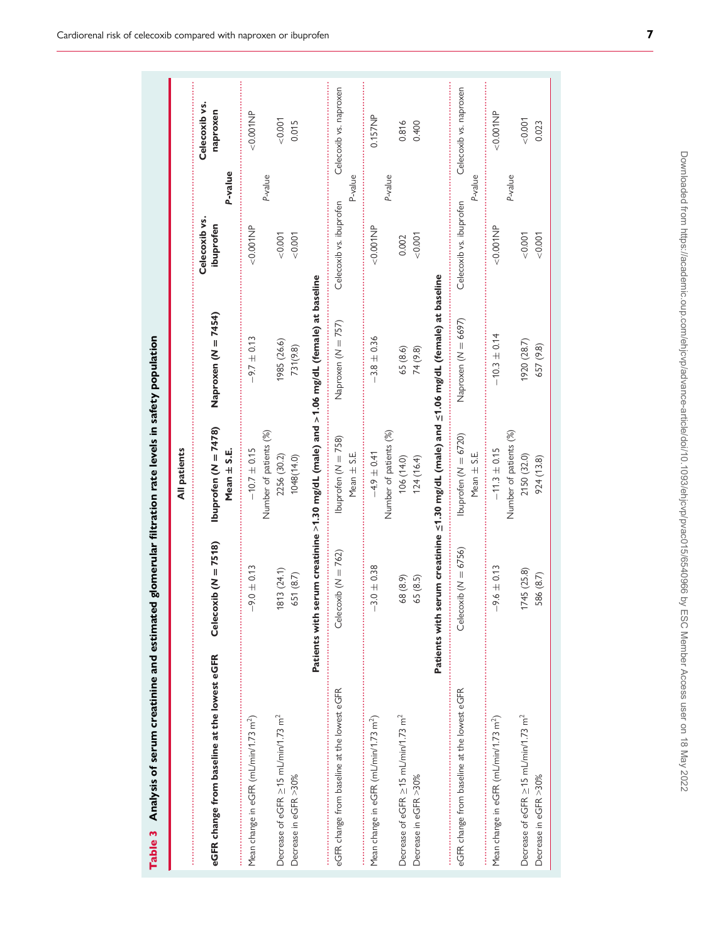<span id="page-6-0"></span>

|                                                                                |                                                                                                    | All patients                                |                          |                                       |                           |
|--------------------------------------------------------------------------------|----------------------------------------------------------------------------------------------------|---------------------------------------------|--------------------------|---------------------------------------|---------------------------|
| eGFR change from baseline at the lowest eGFR                                   | Celecoxib $(N = 7518)$                                                                             | Ibuprofen ( $N = 7478$ )<br>Mean $\pm$ S.E. | Naproxen (N = 7454)      | P-value<br>Celecoxib vs.<br>ibuprofen | Celecoxib vs.<br>naproxen |
| Mean change in eGFR (mL/min/1.73 m <sup>2</sup> )                              | $9.0 \pm 0.13$                                                                                     | Number of patients (%)<br>$-10.7 \pm 0.15$  | $-9.7 \pm 0.13$          | P-value<br>$< 0.001$ NP               | $-0.001$ NP               |
| Decrease of eGFR ≥15 mL/min/1.73 m <sup>2</sup><br>Decrease in eGFR >30%       | 813 (24.1)<br>651 (8.7)                                                                            | 2256 (30.2)<br>1048(14.0)                   | 1985 (26.6)<br>731(9.8)  | 0.007<br>0.001                        | 0.001<br>0.015            |
|                                                                                | Patients with serum creatinine >1.30 mg/dL (male) and >1.06 mg/dL (female) at baseline             |                                             |                          |                                       |                           |
| eGFR change from baseline at the lowest eGFR                                   | Celecoxib ( $N = 762$ )                                                                            | Ibuprofen ( $N = 758$ )<br>Mean $\pm$ S.E.  | Naproxen (N = 757)       | P-value<br>Celecoxib vs. ibuprofen    | Celecoxib vs. naproxen    |
| Mean change in eGFR (mL/min/1.73 m <sup>2</sup> )                              | $3.0 \pm 0.38$<br>:<br>:<br>:<br>$\overline{1}$                                                    | Number of patients (%)<br>$-4.9 \pm 0.41$   | $-3.8 \pm 0.36$          | P-value<br>$< 0.001$ NP               | 0.157NP                   |
| Decrease of eGFR $\geq$ 15 mL/min/1.73 m <sup>2</sup><br>Decrease in eGFR >30% | 68 (8.9)<br>65 (8.5)                                                                               | 124(16.4)<br>106 (14.0)                     | 65 (8.6)<br>74 (9.8)     | 0.001<br>0.002                        | 0.816<br>0.400            |
|                                                                                | Patients with serum creatinine $\leq$ 1.30 mg/dL (male) and $\leq$ 1.06 mg/dL (female) at baseline |                                             |                          |                                       |                           |
| eGFR change from baseline at the lowest eGFR                                   | Celecoxib ( $N = 6756$ )                                                                           | Ibuprofen $(N = 6720)$<br>Mean $\pm$ S.E.   | Naproxen (N = 6697)      | P-value<br>Celecoxib vs. ibuprofen    | Celecoxib vs. naproxen    |
| Mean change in eGFR (mL/min/1.73 m <sup>2</sup> )                              | $-9.6 \pm 0.13$<br>                                                                                | Number of patients (%)<br>$-11.3 \pm 0.15$  | $-10.3 \pm 0.14$         | P-value<br>$<0.001$ NP                | $<0.001$ NP               |
| Decrease of eGFR $>$ 15 mL/min/1.73 m <sup>2</sup><br>Decrease in eGFR >30%    | 745 (25.8)<br>586 (8.7)                                                                            | 2150 (32.0)<br>924 (13.8)                   | 1920 (28.7)<br>657 (9.8) | 0.007<br>0.007                        | 0.001<br>0.023            |
|                                                                                |                                                                                                    |                                             |                          |                                       |                           |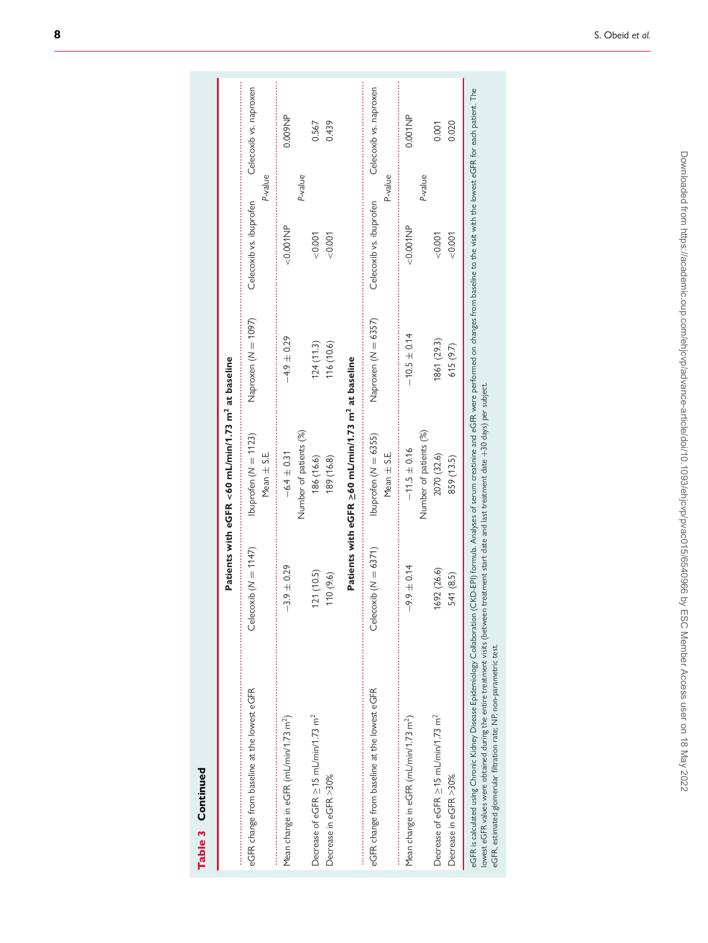|                                                                                                                                                                                                                                                                                                                                                                                    |                          | Patients with eGFR <60 mL/min/1.73 m <sup>2</sup> at baseline |                         |                         |                                   |
|------------------------------------------------------------------------------------------------------------------------------------------------------------------------------------------------------------------------------------------------------------------------------------------------------------------------------------------------------------------------------------|--------------------------|---------------------------------------------------------------|-------------------------|-------------------------|-----------------------------------|
| eGFR change from baseline at the lowest eGFR                                                                                                                                                                                                                                                                                                                                       | Celecoxib ( $N = 1147$ ) | Ibuprofen ( $N = 1123$ )<br>Mean $\pm$ S.E.                   | Naproxen (N = 1097)     | Celecoxib vs. ibuprofen | Celecoxib vs. naproxen<br>P-value |
| Mean change in eGFR (mL/min/1.73 m <sup>2</sup> )                                                                                                                                                                                                                                                                                                                                  | $-3.9 \pm 0.29$          | Number of patients (%)<br>$-6.4 \pm 0.31$                     | $-4.9 \pm 0.29$         | $<0.001$ NP             | 0.009NP<br>P-value                |
| Decrease of eGFR ≥15 mL/min/1.73 m <sup>2</sup><br>Decrease in eGFR >30%                                                                                                                                                                                                                                                                                                           | 121 (10.5)<br>110(9.6)   | 186 (16.6)<br>189 (16.8)                                      | 116 (10.6)<br>124(11.3) | &0.001<br>0.001         | 0.439<br>0.567                    |
|                                                                                                                                                                                                                                                                                                                                                                                    |                          | Patients with eGFR ≥60 mL/min/1.73 m <sup>2</sup> at baseline |                         |                         |                                   |
| eGFR change from baseline at the lowest eGFR                                                                                                                                                                                                                                                                                                                                       | Celecoxib ( $N = 6371$ ) | Ibuprofen $(N = 6355)$<br>Mean $\pm$ S.E.                     | Naproxen (N = 6357)     | Celecoxib vs. ibuprofen | Celecoxib vs. naproxen<br>P-value |
| Mean change in eGFR (mL/min/1.73 m <sup>2</sup> )                                                                                                                                                                                                                                                                                                                                  | $-9.9 \pm 0.14$          | Number of patients (%)<br>$-11.5 \pm 0.16$                    | $-10.5 \pm 0.14$        | $<0.001$ NP             | $0.001N$ P<br>P-value             |
| Decrease of eGFR >15 mL/min/1.73 m <sup>2</sup><br>Decrease in eGFR >30%                                                                                                                                                                                                                                                                                                           | 1692 (26.6)<br>541 (8.5) | 2070 (32.6)<br>859 (13.5)                                     | 1861 (29.3)<br>615(9.7) | 0.007<br>&0.001         | 0.020<br>0.001                    |
| eGFR is calculated using Chronic Kidney Disease Epidemiology Collaboration (CKD-EP) formula. Analyses of serum creatinine and eGFR were performed on changes from baseline to the visit with the lowest eGFR for each patient.<br>lowest eGFR values were obtained during the entire treatment visits (between treatment start date and last treatment date +30 days) per subject. |                          |                                                               |                         |                         |                                   |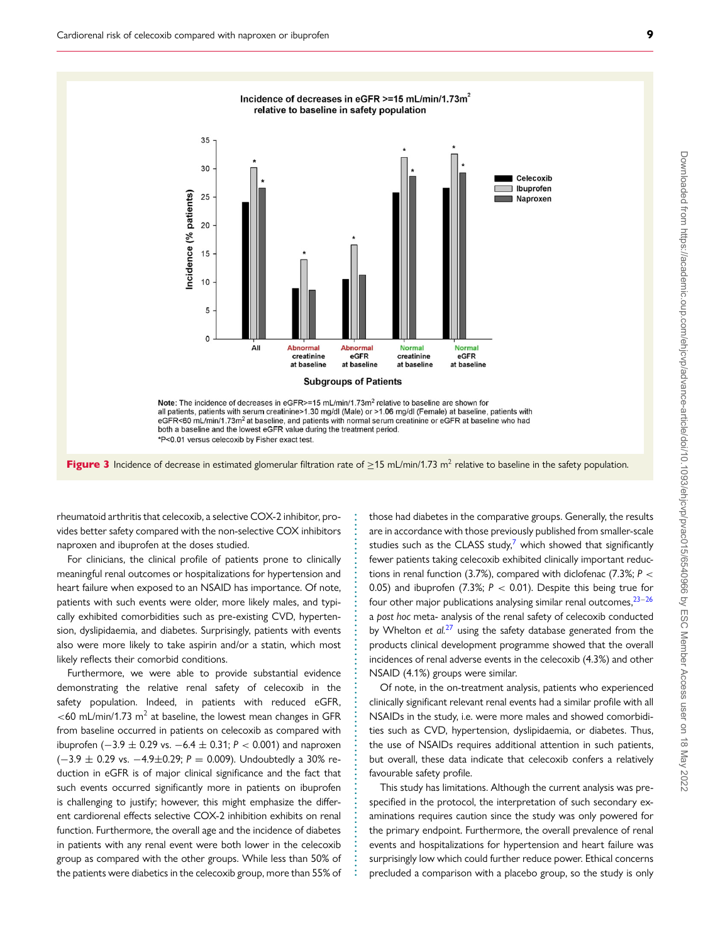<span id="page-8-0"></span>

Figure 3 Incidence of decrease in estimated glomerular filtration rate of  $\geq$ 15 mL/min/1.73 m<sup>2</sup> relative to baseline in the safety population.

**. . . . . . . . . . . . . . . . . . . . . . . . . . . . . . . . . . . . . . . . . . . . . . . . . . . . . . . . . . . . . . . . . . . . . . . . . . . .**

rheumatoid arthritis that celecoxib, a selective COX-2 inhibitor, provides better safety compared with the non-selective COX inhibitors naproxen and ibuprofen at the doses studied.

For clinicians, the clinical profile of patients prone to clinically meaningful renal outcomes or hospitalizations for hypertension and heart failure when exposed to an NSAID has importance. Of note, patients with such events were older, more likely males, and typically exhibited comorbidities such as pre-existing CVD, hypertension, dyslipidaemia, and diabetes. Surprisingly, patients with events also were more likely to take aspirin and/or a statin, which most likely reflects their comorbid conditions.

Furthermore, we were able to provide substantial evidence demonstrating the relative renal safety of celecoxib in the safety population. Indeed, in patients with reduced eGFR,  $<$  60 mL/min/1.73 m<sup>2</sup> at baseline, the lowest mean changes in GFR from baseline occurred in patients on celecoxib as compared with ibuprofen (−3.9 ± 0.29 vs. −6.4 ± 0.31; *P* < 0.001) and naproxen (−3.9 ± 0.29 vs. −4.9±0.29; *P* = 0.009). Undoubtedly a 30% reduction in eGFR is of major clinical significance and the fact that such events occurred significantly more in patients on ibuprofen is challenging to justify; however, this might emphasize the different cardiorenal effects selective COX-2 inhibition exhibits on renal function. Furthermore, the overall age and the incidence of diabetes in patients with any renal event were both lower in the celecoxib group as compared with the other groups. While less than 50% of the patients were diabetics in the celecoxib group, more than 55% of those had diabetes in the comparative groups. Generally, the results are in accordance with those previously published from smaller-scale studies such as the CLASS study, $7$  which showed that significantly fewer patients taking celecoxib exhibited clinically important reductions in renal function (3.7%), compared with diclofenac (7.3%; *P* < 0.05) and ibuprofen (7.3%;  $P < 0.01$ ). Despite this being true for four other major publications analysing similar renal outcomes,  $23-26$  $23-26$ a *post hoc* meta- analysis of the renal safety of celecoxib conducted by Whelton *et al.*[27](#page-10-8) using the safety database generated from the products clinical development programme showed that the overall incidences of renal adverse events in the celecoxib (4.3%) and other NSAID (4.1%) groups were similar.

Of note, in the on-treatment analysis, patients who experienced clinically significant relevant renal events had a similar profile with all NSAIDs in the study, i.e. were more males and showed comorbidities such as CVD, hypertension, dyslipidaemia, or diabetes. Thus, the use of NSAIDs requires additional attention in such patients, but overall, these data indicate that celecoxib confers a relatively favourable safety profile.

This study has limitations. Although the current analysis was prespecified in the protocol, the interpretation of such secondary examinations requires caution since the study was only powered for the primary endpoint. Furthermore, the overall prevalence of renal events and hospitalizations for hypertension and heart failure was surprisingly low which could further reduce power. Ethical concerns precluded a comparison with a placebo group, so the study is only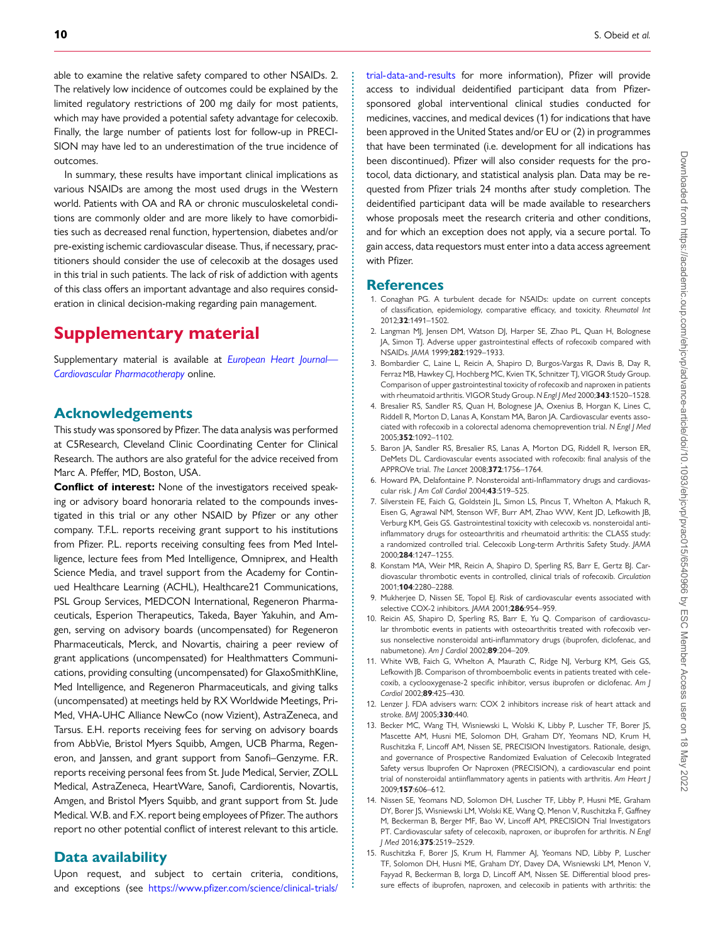able to examine the relative safety compared to other NSAIDs. 2. The relatively low incidence of outcomes could be explained by the limited regulatory restrictions of 200 mg daily for most patients, which may have provided a potential safety advantage for celecoxib. Finally, the large number of patients lost for follow-up in PRECI-SION may have led to an underestimation of the true incidence of outcomes.

In summary, these results have important clinical implications as various NSAIDs are among the most used drugs in the Western world. Patients with OA and RA or chronic musculoskeletal conditions are commonly older and are more likely to have comorbidities such as decreased renal function, hypertension, diabetes and/or pre-existing ischemic cardiovascular disease. Thus, if necessary, practitioners should consider the use of celecoxib at the dosages used in this trial in such patients. The lack of risk of addiction with agents of this class offers an important advantage and also requires consideration in clinical decision-making regarding pain management.

# **Supplementary material**

[Supplementary material is available at](https://academic.oup.com/ehjcvp/article-lookup/doi/10.1093/ehjcvp/pvac015#supplementary-data) *European Heart Journal— Cardiovascular Pharmacotherapy* online.

## **Acknowledgements**

This study was sponsored by Pfizer. The data analysis was performed at C5Research, Cleveland Clinic Coordinating Center for Clinical Research. The authors are also grateful for the advice received from Marc A. Pfeffer, MD, Boston, USA.

**Conflict of interest:** None of the investigators received speaking or advisory board honoraria related to the compounds investigated in this trial or any other NSAID by Pfizer or any other company. T.F.L. reports receiving grant support to his institutions from Pfizer. P.L. reports receiving consulting fees from Med Intelligence, lecture fees from Med Intelligence, Omniprex, and Health Science Media, and travel support from the Academy for Continued Healthcare Learning (ACHL), Healthcare21 Communications, PSL Group Services, MEDCON International, Regeneron Pharmaceuticals, Esperion Therapeutics, Takeda, Bayer Yakuhin, and Amgen, serving on advisory boards (uncompensated) for Regeneron Pharmaceuticals, Merck, and Novartis, chairing a peer review of grant applications (uncompensated) for Healthmatters Communications, providing consulting (uncompensated) for GlaxoSmithKline, Med Intelligence, and Regeneron Pharmaceuticals, and giving talks (uncompensated) at meetings held by RX Worldwide Meetings, Pri-Med, VHA-UHC Alliance NewCo (now Vizient), AstraZeneca, and Tarsus. E.H. reports receiving fees for serving on advisory boards from AbbVie, Bristol Myers Squibb, Amgen, UCB Pharma, Regeneron, and Janssen, and grant support from Sanofi–Genzyme. F.R. reports receiving personal fees from St. Jude Medical, Servier, ZOLL Medical, AstraZeneca, HeartWare, Sanofi, Cardiorentis, Novartis, Amgen, and Bristol Myers Squibb, and grant support from St. Jude Medical. W.B. and F.X. report being employees of Pfizer. The authors report no other potential conflict of interest relevant to this article.

#### **Data availability**

Upon request, and subject to certain criteria, conditions, and exceptions (see https://www.pfizer.com/science/clinical-trials/ [trial-data-and-results](https://www.pfizer.com/science/clinical-trials/trial-data-and-results) for more information), Pfizer will provide access to individual deidentified participant data from Pfizersponsored global interventional clinical studies conducted for medicines, vaccines, and medical devices (1) for indications that have been approved in the United States and/or EU or (2) in programmes that have been terminated (i.e. development for all indications has been discontinued). Pfizer will also consider requests for the protocol, data dictionary, and statistical analysis plan. Data may be requested from Pfizer trials 24 months after study completion. The deidentified participant data will be made available to researchers whose proposals meet the research criteria and other conditions, and for which an exception does not apply, via a secure portal. To gain access, data requestors must enter into a data access agreement with Pfizer.

#### **References**

**. . . . . . . . . . . . . . . . . . . . . . . . . . . . . . . . . . . . . . . . . . . . . . . . . . . . . . . . . . . . . . . . . . . . . . . . . . . . . . . . . . . . . . . . . . . . . . . . . . . . . . . . . . . . . . . . . . . . . . . . . . . . . . . . . . . . . . . . . . . . . . . . . . . . . . . . . . . . . . . . . . . . . . . . . . . . . . . . . . . . . . . . . . . . . . . . . . . . . . . . . . . . . . . . . . . . . . . . . . .**

- <span id="page-9-0"></span>1. Conaghan PG. A turbulent decade for NSAIDs: update on current concepts of classification, epidemiology, comparative efficacy, and toxicity. *Rheumatol Int* 2012;**32**:1491–1502.
- <span id="page-9-1"></span>2. Langman MJ, Jensen DM, Watson DJ, Harper SE, Zhao PL, Quan H, Bolognese JA, Simon TJ. Adverse upper gastrointestinal effects of rofecoxib compared with NSAIDs. *JAMA* 1999;**282**:1929–1933.
- <span id="page-9-2"></span>3. Bombardier C, Laine L, Reicin A, Shapiro D, Burgos-Vargas R, Davis B, Day R, Ferraz MB, Hawkey CJ, Hochberg MC, Kvien TK, Schnitzer TJ, VIGOR Study Group. Comparison of upper gastrointestinal toxicity of rofecoxib and naproxen in patients with rheumatoid arthritis. VIGOR Study Group. *N Engl J Med* 2000;**343**:1520–1528.
- 4. Bresalier RS, Sandler RS, Quan H, Bolognese JA, Oxenius B, Horgan K, Lines C, Riddell R, Morton D, Lanas A, Konstam MA, Baron JA. Cardiovascular events associated with rofecoxib in a colorectal adenoma chemoprevention trial. *N Engl J Med* 2005;**352**:1092–1102.
- <span id="page-9-3"></span>5. Baron JA, Sandler RS, Bresalier RS, Lanas A, Morton DG, Riddell R, Iverson ER, DeMets DL. Cardiovascular events associated with rofecoxib: final analysis of the APPROVe trial. *The Lancet* 2008;**372**:1756–1764.
- <span id="page-9-4"></span>6. Howard PA, Delafontaine P. Nonsteroidal anti-Inflammatory drugs and cardiovascular risk. *J Am Coll Cardiol* 2004;**43**:519–525.
- <span id="page-9-5"></span>7. Silverstein FE, Faich G, Goldstein JL, Simon LS, Pincus T, Whelton A, Makuch R, Eisen G, Agrawal NM, Stenson WF, Burr AM, Zhao WW, Kent JD, Lefkowith JB, Verburg KM, Geis GS. Gastrointestinal toxicity with celecoxib vs. nonsteroidal antiinflammatory drugs for osteoarthritis and rheumatoid arthritis: the CLASS study: a randomized controlled trial. Celecoxib Long-term Arthritis Safety Study. *JAMA* 2000;**284**:1247–1255.
- <span id="page-9-6"></span>8. Konstam MA, Weir MR, Reicin A, Shapiro D, Sperling RS, Barr E, Gertz BJ. Cardiovascular thrombotic events in controlled, clinical trials of rofecoxib. *Circulation* 2001;**104**:2280–2288.
- 9. Mukherjee D, Nissen SE, Topol EJ. Risk of cardiovascular events associated with selective COX-2 inhibitors. *JAMA* 2001;**286**:954–959.
- 10. Reicin AS, Shapiro D, Sperling RS, Barr E, Yu Q. Comparison of cardiovascular thrombotic events in patients with osteoarthritis treated with rofecoxib versus nonselective nonsteroidal anti-inflammatory drugs (ibuprofen, diclofenac, and nabumetone). *Am J Cardiol* 2002;**89**:204–209.
- <span id="page-9-7"></span>11. White WB, Faich G, Whelton A, Maurath C, Ridge NJ, Verburg KM, Geis GS, Lefkowith JB. Comparison of thromboembolic events in patients treated with celecoxib, a cyclooxygenase-2 specific inhibitor, versus ibuprofen or diclofenac. *Am J Cardiol* 2002;**89**:425–430.
- <span id="page-9-8"></span>12. Lenzer J. FDA advisers warn: COX 2 inhibitors increase risk of heart attack and stroke. *BMJ* 2005;**330**:440.
- <span id="page-9-9"></span>13. Becker MC, Wang TH, Wisniewski L, Wolski K, Libby P, Luscher TF, Borer JS, Mascette AM, Husni ME, Solomon DH, Graham DY, Yeomans ND, Krum H, Ruschitzka F, Lincoff AM, Nissen SE, PRECISION Investigators. Rationale, design, and governance of Prospective Randomized Evaluation of Celecoxib Integrated Safety versus Ibuprofen Or Naproxen (PRECISION), a cardiovascular end point trial of nonsteroidal antiinflammatory agents in patients with arthritis. *Am Heart J* 2009;**157**:606–612.
- <span id="page-9-10"></span>14. Nissen SE, Yeomans ND, Solomon DH, Luscher TF, Libby P, Husni ME, Graham DY, Borer JS, Wisniewski LM, Wolski KE, Wang Q, Menon V, Ruschitzka F, Gaffney M, Beckerman B, Berger MF, Bao W, Lincoff AM, PRECISION Trial Investigators PT. Cardiovascular safety of celecoxib, naproxen, or ibuprofen for arthritis. *N Engl J Med* 2016;**375**:2519–2529.
- <span id="page-9-11"></span>15. Ruschitzka F, Borer JS, Krum H, Flammer AJ, Yeomans ND, Libby P, Luscher TF, Solomon DH, Husni ME, Graham DY, Davey DA, Wisniewski LM, Menon V, Fayyad R, Beckerman B, Iorga D, Lincoff AM, Nissen SE. Differential blood pressure effects of ibuprofen, naproxen, and celecoxib in patients with arthritis: the